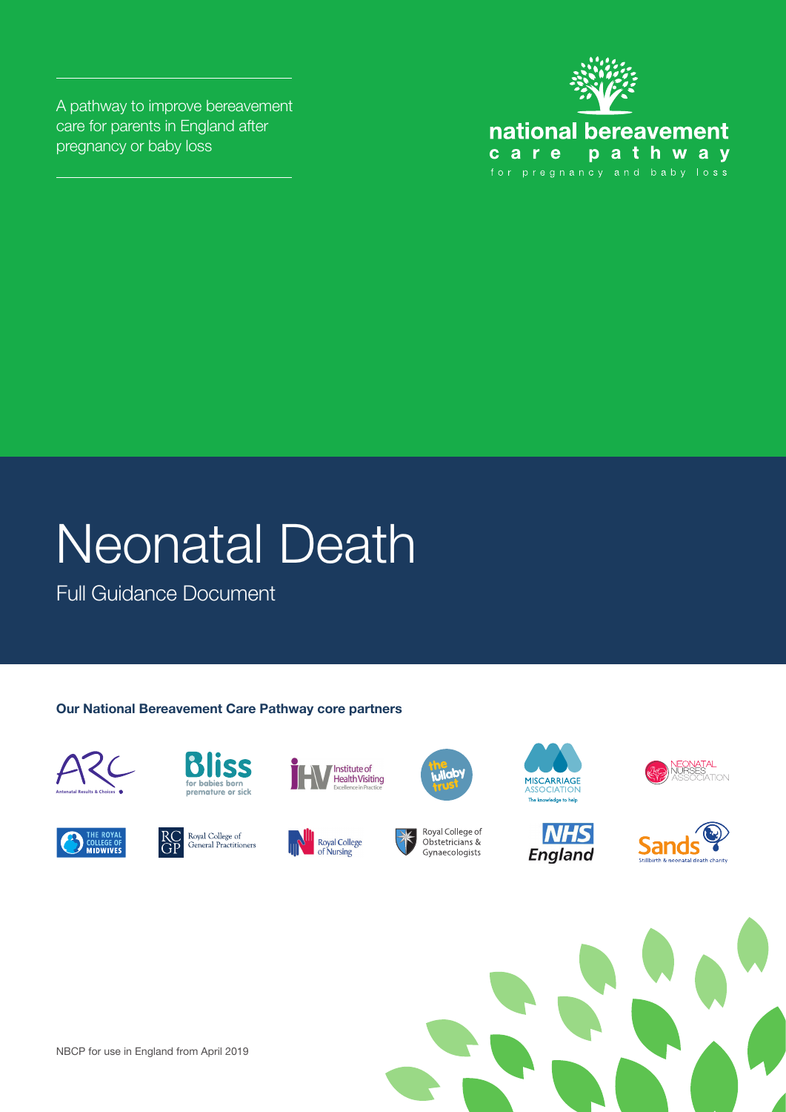A pathway to improve bereavement care for parents in England after pregnancy or baby loss



## Neonatal Death

Full Guidance Document

#### **Our National Bereavement Care Pathway core partners**





























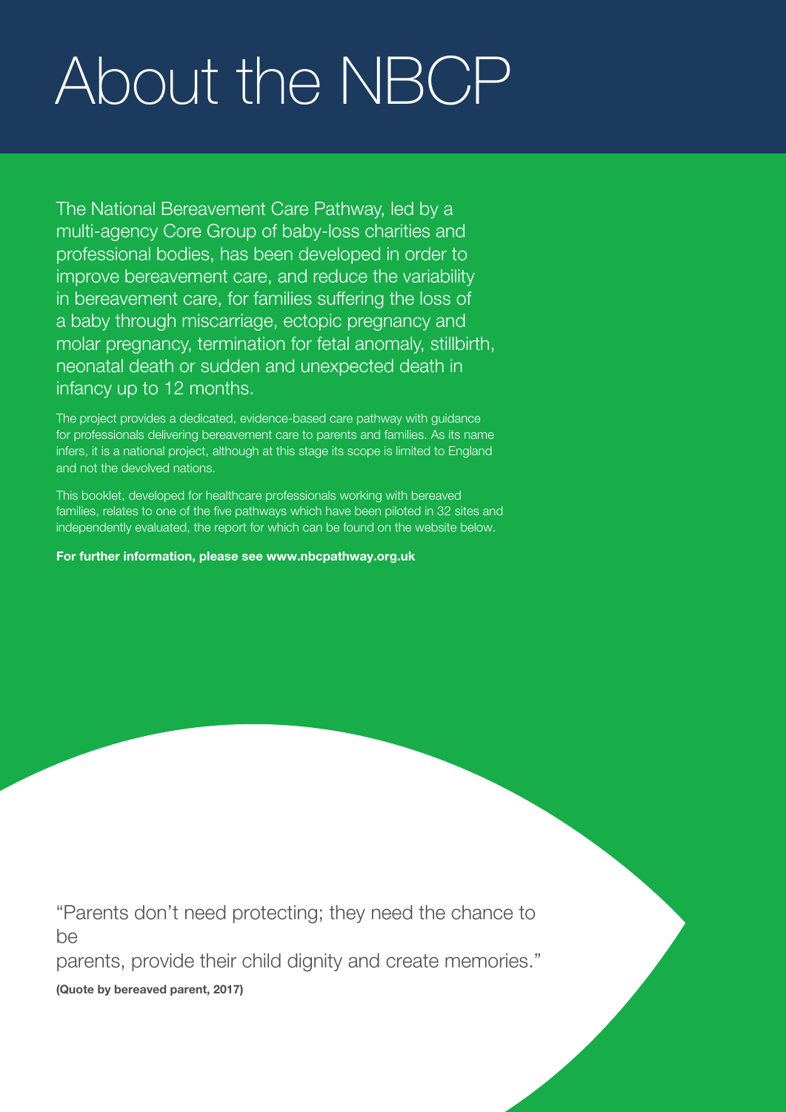# About the NBCP

The National Bereavement Care Pathway, led by a multi-agency Core Group of baby-loss charities and professional bodies, has been developed in order to improve bereavement care, and reduce the variability in bereavement care, for families suffering the loss of a baby through miscarriage, ectopic pregnancy and molar pregnancy, termination for fetal anomaly, stillbirth, neonatal death or sudden and unexpected death in infancy up to 12 months.

The project provides a dedicated, evidence-based care pathway with guidance for professionals delivering bereavement care to parents and families. As its name infers, it is a national project, although at this stage its scope is limited to England and not the devolved nations.

This booklet, developed for healthcare professionals working with bereaved families, relates to one of the five pathways which have been piloted in 32 sites and independently evaluated, the report for which can be found on the website below.

For further information, please see www.nbcpathway.org.uk

"Parents don't need protecting; they need the chance to be

parents, provide their child dignity and create memories."

**(Quote by bereaved parent, 2017)**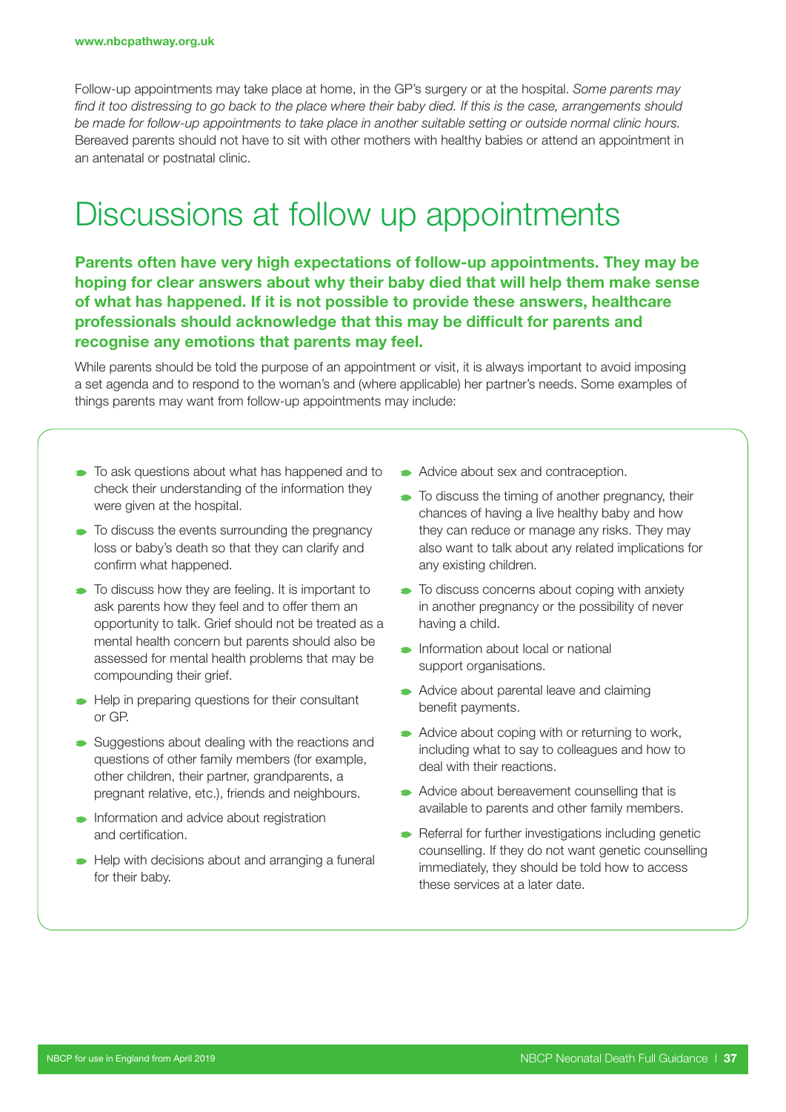Follow-up appointments may take place at home, in the GP's surgery or at the hospital. *Some parents may find it too distressing to go back to the place where their baby died. If this is the case, arrangements should be made for follow-up appointments to take place in another suitable setting or outside normal clinic hours.* Bereaved parents should not have to sit with other mothers with healthy babies or attend an appointment in an antenatal or postnatal clinic.

### Discussions at follow up appointments

Parents often have very high expectations of follow-up appointments. They may be hoping for clear answers about why their baby died that will help them make sense of what has happened. If it is not possible to provide these answers, healthcare professionals should acknowledge that this may be difficult for parents and recognise any emotions that parents may feel.

While parents should be told the purpose of an appointment or visit, it is always important to avoid imposing a set agenda and to respond to the woman's and (where applicable) her partner's needs. Some examples of things parents may want from follow-up appointments may include:

- $\bullet$  To ask questions about what has happened and to check their understanding of the information they were given at the hospital.
- $\bullet$  To discuss the events surrounding the pregnancy loss or baby's death so that they can clarify and confirm what happened.
- $\bullet$  To discuss how they are feeling. It is important to ask parents how they feel and to offer them an opportunity to talk. Grief should not be treated as a mental health concern but parents should also be assessed for mental health problems that may be compounding their grief.
- Help in preparing questions for their consultant or GP.
- Suggestions about dealing with the reactions and questions of other family members (for example, other children, their partner, grandparents, a pregnant relative, etc.), friends and neighbours.
- **Information and advice about registration** and certification.
- Help with decisions about and arranging a funeral for their baby.
- Advice about sex and contraception.
- $\bullet$  To discuss the timing of another pregnancy, their chances of having a live healthy baby and how they can reduce or manage any risks. They may also want to talk about any related implications for any existing children.
- $\bullet$  To discuss concerns about coping with anxiety in another pregnancy or the possibility of never having a child.
- $\rightarrow$  Information about local or national support organisations.
- Advice about parental leave and claiming benefit payments.
- Advice about coping with or returning to work, including what to say to colleagues and how to deal with their reactions.
- Advice about bereavement counselling that is available to parents and other family members.
- Referral for further investigations including genetic counselling. If they do not want genetic counselling immediately, they should be told how to access these services at a later date.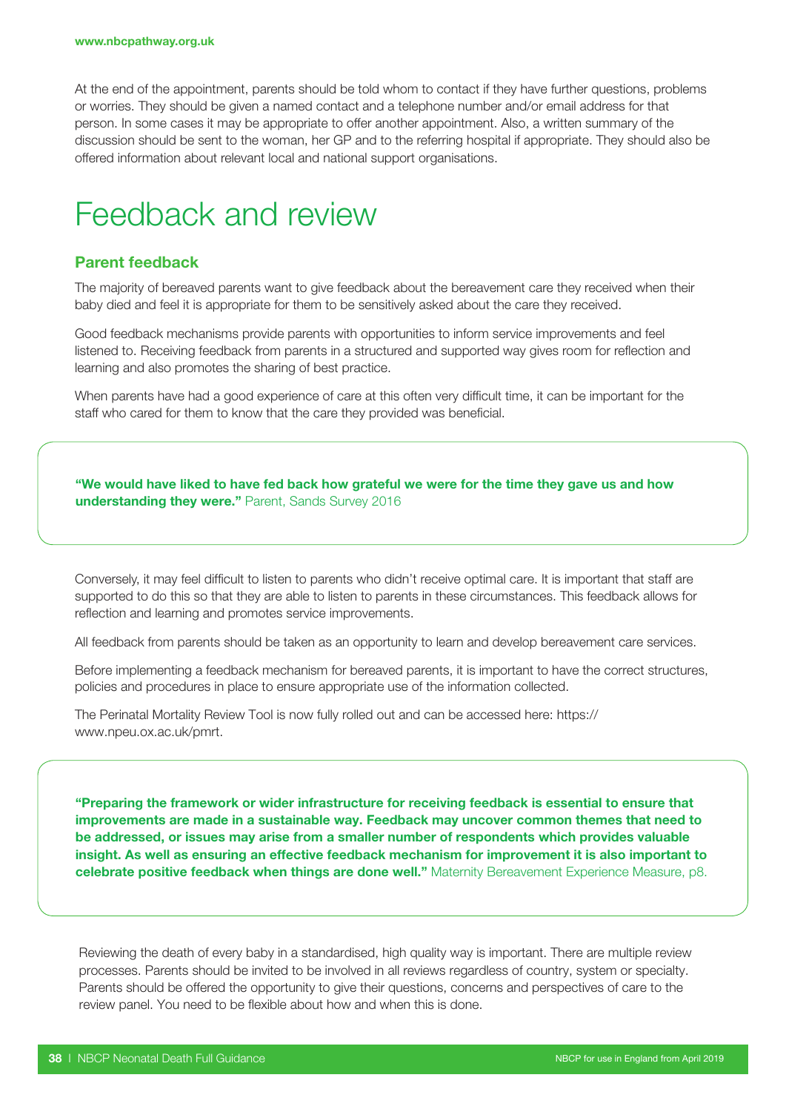At the end of the appointment, parents should be told whom to contact if they have further questions, problems or worries. They should be given a named contact and a telephone number and/or email address for that person. In some cases it may be appropriate to offer another appointment. Also, a written summary of the discussion should be sent to the woman, her GP and to the referring hospital if appropriate. They should also be offered information about relevant local and national support organisations.

### Feedback and review

#### Parent feedback

The majority of bereaved parents want to give feedback about the bereavement care they received when their baby died and feel it is appropriate for them to be sensitively asked about the care they received.

Good feedback mechanisms provide parents with opportunities to inform service improvements and feel listened to. Receiving feedback from parents in a structured and supported way gives room for reflection and learning and also promotes the sharing of best practice.

When parents have had a good experience of care at this often very difficult time, it can be important for the staff who cared for them to know that the care they provided was beneficial.

"We would have liked to have fed back how grateful we were for the time they gave us and how understanding they were." Parent, Sands Survey 2016

Conversely, it may feel difficult to listen to parents who didn't receive optimal care. It is important that staff are supported to do this so that they are able to listen to parents in these circumstances. This feedback allows for reflection and learning and promotes service improvements.

All feedback from parents should be taken as an opportunity to learn and develop bereavement care services.

Before implementing a feedback mechanism for bereaved parents, it is important to have the correct structures, policies and procedures in place to ensure appropriate use of the information collected.

The Perinatal Mortality Review Tool is now fully rolled out and can be accessed here: https:// www.npeu.ox.ac.uk/pmrt.

"Preparing the framework or wider infrastructure for receiving feedback is essential to ensure that improvements are made in a sustainable way. Feedback may uncover common themes that need to be addressed, or issues may arise from a smaller number of respondents which provides valuable insight. As well as ensuring an effective feedback mechanism for improvement it is also important to celebrate positive feedback when things are done well." Maternity Bereavement Experience Measure, p8.

Reviewing the death of every baby in a standardised, high quality way is important. There are multiple review processes. Parents should be invited to be involved in all reviews regardless of country, system or specialty. Parents should be offered the opportunity to give their questions, concerns and perspectives of care to the review panel. You need to be flexible about how and when this is done.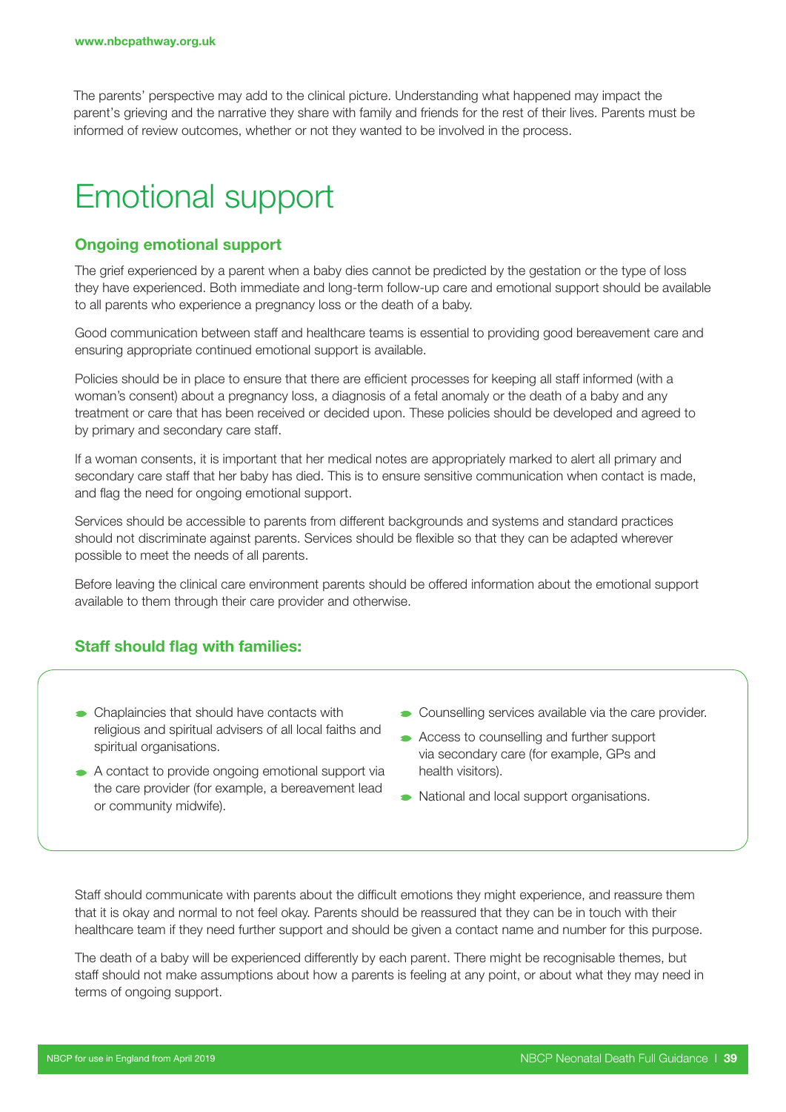The parents' perspective may add to the clinical picture. Understanding what happened may impact the parent's grieving and the narrative they share with family and friends for the rest of their lives. Parents must be informed of review outcomes, whether or not they wanted to be involved in the process.

### Emotional support

#### Ongoing emotional support

The grief experienced by a parent when a baby dies cannot be predicted by the gestation or the type of loss they have experienced. Both immediate and long-term follow-up care and emotional support should be available to all parents who experience a pregnancy loss or the death of a baby.

Good communication between staff and healthcare teams is essential to providing good bereavement care and ensuring appropriate continued emotional support is available.

Policies should be in place to ensure that there are efficient processes for keeping all staff informed (with a woman's consent) about a pregnancy loss, a diagnosis of a fetal anomaly or the death of a baby and any treatment or care that has been received or decided upon. These policies should be developed and agreed to by primary and secondary care staff.

If a woman consents, it is important that her medical notes are appropriately marked to alert all primary and secondary care staff that her baby has died. This is to ensure sensitive communication when contact is made, and flag the need for ongoing emotional support.

Services should be accessible to parents from different backgrounds and systems and standard practices should not discriminate against parents. Services should be flexible so that they can be adapted wherever possible to meet the needs of all parents.

Before leaving the clinical care environment parents should be offered information about the emotional support available to them through their care provider and otherwise.

#### Staff should flag with families:

- Chaplaincies that should have contacts with religious and spiritual advisers of all local faiths and spiritual organisations.
- A contact to provide ongoing emotional support via the care provider (for example, a bereavement lead or community midwife).
- **Counselling services available via the care provider.**
- Access to counselling and further support via secondary care (for example, GPs and health visitors).
- National and local support organisations.

Staff should communicate with parents about the difficult emotions they might experience, and reassure them that it is okay and normal to not feel okay. Parents should be reassured that they can be in touch with their healthcare team if they need further support and should be given a contact name and number for this purpose.

The death of a baby will be experienced differently by each parent. There might be recognisable themes, but staff should not make assumptions about how a parents is feeling at any point, or about what they may need in terms of ongoing support.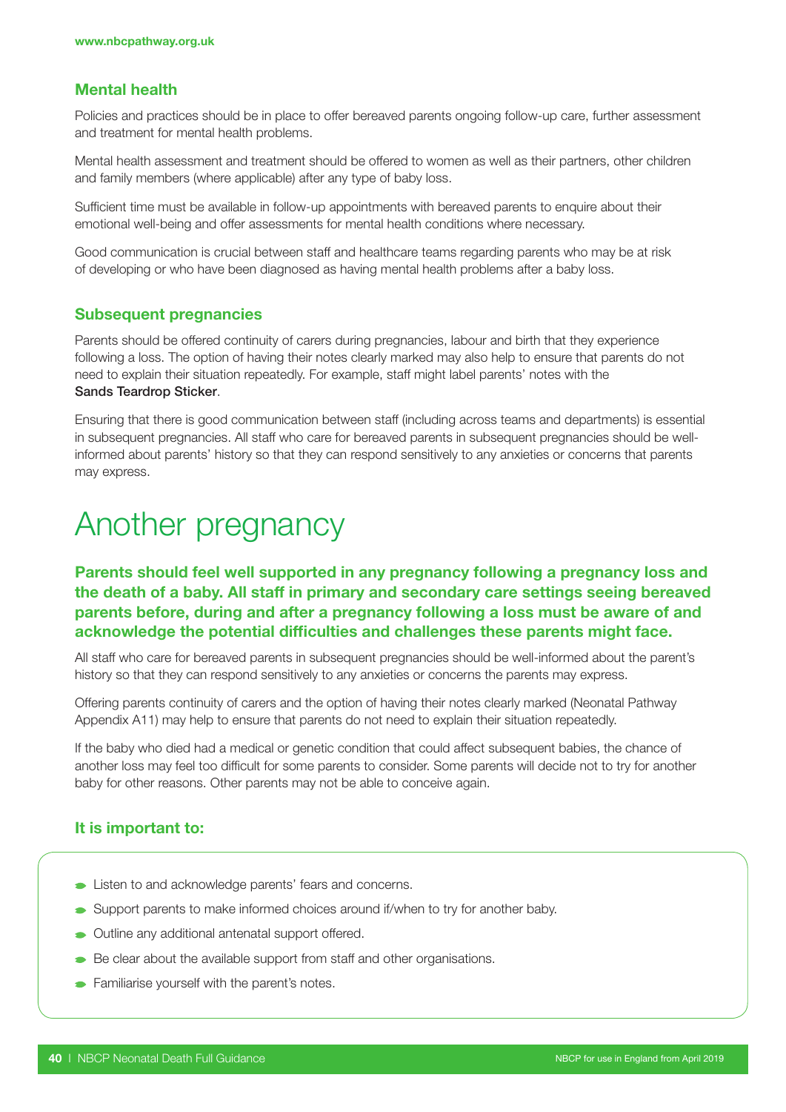#### Mental health

Policies and practices should be in place to offer bereaved parents ongoing follow-up care, further assessment and treatment for mental health problems.

Mental health assessment and treatment should be offered to women as well as their partners, other children and family members (where applicable) after any type of baby loss.

Sufficient time must be available in follow-up appointments with bereaved parents to enquire about their emotional well-being and offer assessments for mental health conditions where necessary.

Good communication is crucial between staff and healthcare teams regarding parents who may be at risk of developing or who have been diagnosed as having mental health problems after a baby loss.

#### Subsequent pregnancies

Parents should be offered continuity of carers during pregnancies, labour and birth that they experience following a loss. The option of having their notes clearly marked may also help to ensure that parents do not need to explain their situation repeatedly. For example, staff might label parents' notes with the Sands Teardrop Sticker.

Ensuring that there is good communication between staff (including across teams and departments) is essential in subsequent pregnancies. All staff who care for bereaved parents in subsequent pregnancies should be wellinformed about parents' history so that they can respond sensitively to any anxieties or concerns that parents may express.

### Another pregnancy

#### Parents should feel well supported in any pregnancy following a pregnancy loss and the death of a baby. All staff in primary and secondary care settings seeing bereaved parents before, during and after a pregnancy following a loss must be aware of and acknowledge the potential difficulties and challenges these parents might face.

All staff who care for bereaved parents in subsequent pregnancies should be well-informed about the parent's history so that they can respond sensitively to any anxieties or concerns the parents may express.

Offering parents continuity of carers and the option of having their notes clearly marked (Neonatal Pathway Appendix A11) may help to ensure that parents do not need to explain their situation repeatedly.

If the baby who died had a medical or genetic condition that could affect subsequent babies, the chance of another loss may feel too difficult for some parents to consider. Some parents will decide not to try for another baby for other reasons. Other parents may not be able to conceive again.

#### It is important to:

- **Example 2** Listen to and acknowledge parents' fears and concerns.
- Support parents to make informed choices around if/when to try for another baby.
- Outline any additional antenatal support offered.
- Be clear about the available support from staff and other organisations.
- **Familiarise yourself with the parent's notes.**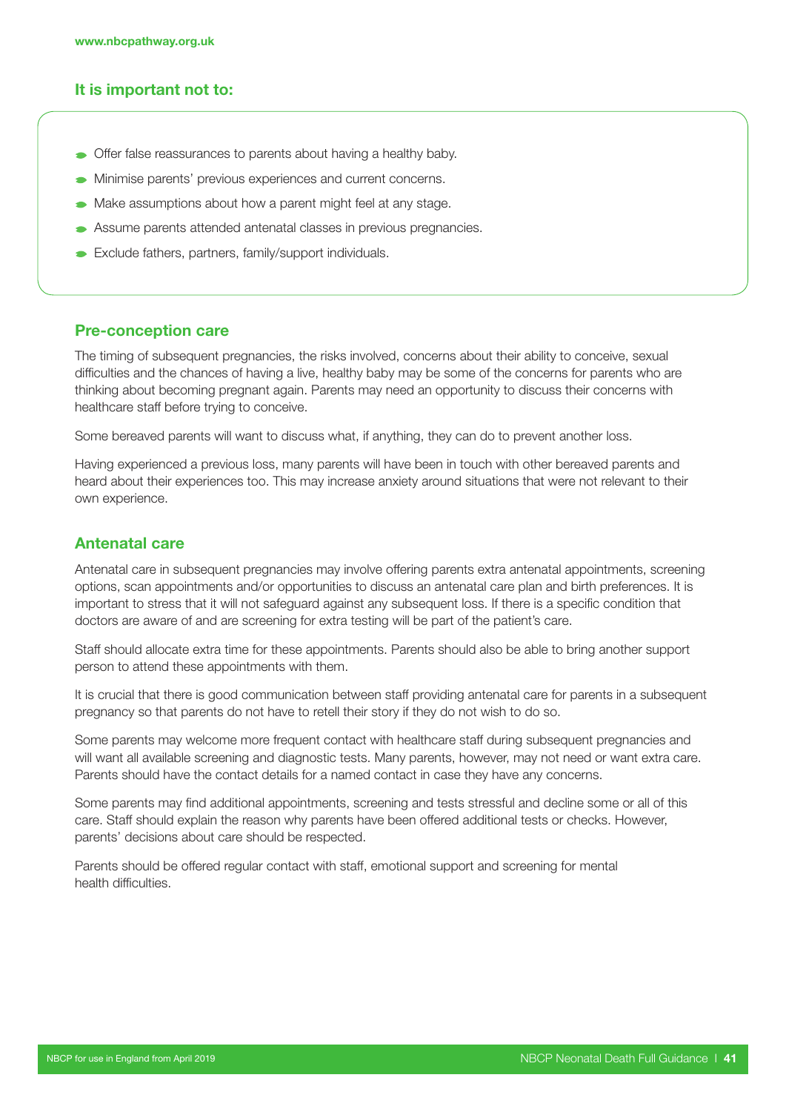#### It is important not to:

- **•** Offer false reassurances to parents about having a healthy baby.
- **Minimise parents' previous experiences and current concerns.**
- Make assumptions about how a parent might feel at any stage.
- Assume parents attended antenatal classes in previous pregnancies.
- Exclude fathers, partners, family/support individuals.

#### Pre-conception care

The timing of subsequent pregnancies, the risks involved, concerns about their ability to conceive, sexual difficulties and the chances of having a live, healthy baby may be some of the concerns for parents who are thinking about becoming pregnant again. Parents may need an opportunity to discuss their concerns with healthcare staff before trying to conceive.

Some bereaved parents will want to discuss what, if anything, they can do to prevent another loss.

Having experienced a previous loss, many parents will have been in touch with other bereaved parents and heard about their experiences too. This may increase anxiety around situations that were not relevant to their own experience.

#### Antenatal care

Antenatal care in subsequent pregnancies may involve offering parents extra antenatal appointments, screening options, scan appointments and/or opportunities to discuss an antenatal care plan and birth preferences. It is important to stress that it will not safeguard against any subsequent loss. If there is a specific condition that doctors are aware of and are screening for extra testing will be part of the patient's care.

Staff should allocate extra time for these appointments. Parents should also be able to bring another support person to attend these appointments with them.

It is crucial that there is good communication between staff providing antenatal care for parents in a subsequent pregnancy so that parents do not have to retell their story if they do not wish to do so.

Some parents may welcome more frequent contact with healthcare staff during subsequent pregnancies and will want all available screening and diagnostic tests. Many parents, however, may not need or want extra care. Parents should have the contact details for a named contact in case they have any concerns.

Some parents may find additional appointments, screening and tests stressful and decline some or all of this care. Staff should explain the reason why parents have been offered additional tests or checks. However, parents' decisions about care should be respected.

Parents should be offered regular contact with staff, emotional support and screening for mental health difficulties.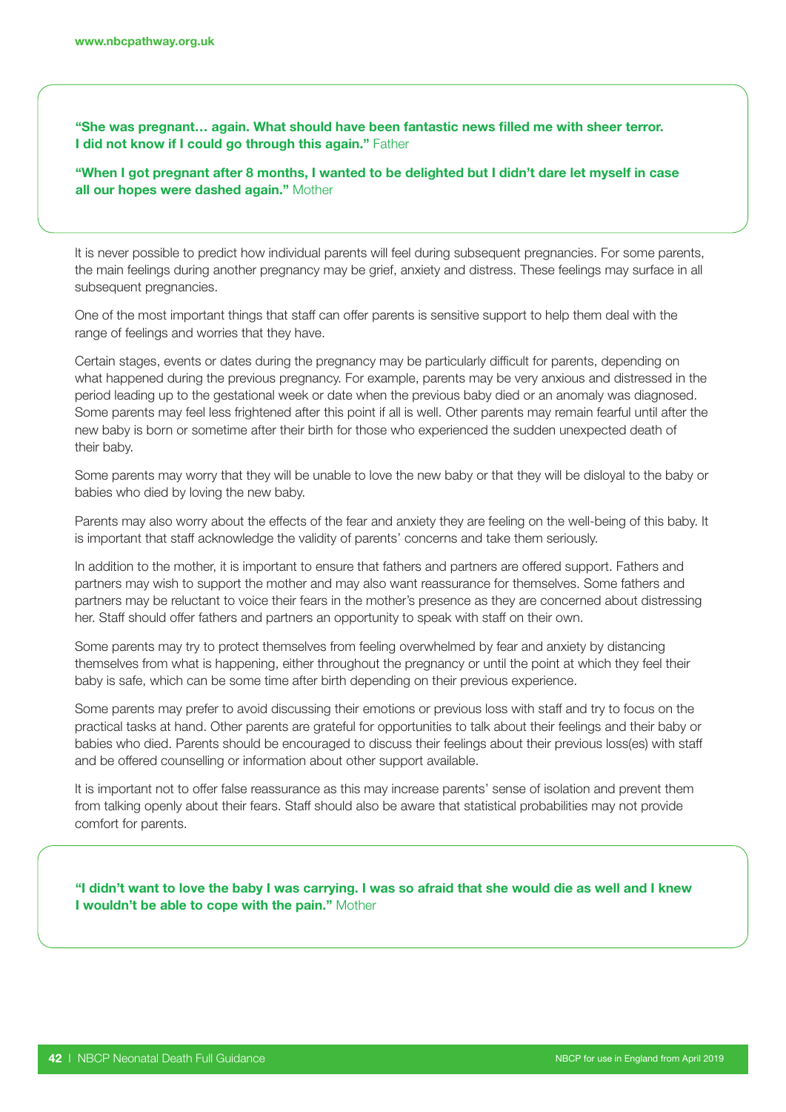"She was pregnant… again. What should have been fantastic news filled me with sheer terror. I did not know if I could go through this again." Father

"When I got pregnant after 8 months, I wanted to be delighted but I didn't dare let myself in case all our hopes were dashed again." Mother

It is never possible to predict how individual parents will feel during subsequent pregnancies. For some parents, the main feelings during another pregnancy may be grief, anxiety and distress. These feelings may surface in all subsequent pregnancies.

One of the most important things that staff can offer parents is sensitive support to help them deal with the range of feelings and worries that they have.

Certain stages, events or dates during the pregnancy may be particularly difficult for parents, depending on what happened during the previous pregnancy. For example, parents may be very anxious and distressed in the period leading up to the gestational week or date when the previous baby died or an anomaly was diagnosed. Some parents may feel less frightened after this point if all is well. Other parents may remain fearful until after the new baby is born or sometime after their birth for those who experienced the sudden unexpected death of their baby.

Some parents may worry that they will be unable to love the new baby or that they will be disloyal to the baby or babies who died by loving the new baby.

Parents may also worry about the effects of the fear and anxiety they are feeling on the well-being of this baby. It is important that staff acknowledge the validity of parents' concerns and take them seriously.

In addition to the mother, it is important to ensure that fathers and partners are offered support. Fathers and partners may wish to support the mother and may also want reassurance for themselves. Some fathers and partners may be reluctant to voice their fears in the mother's presence as they are concerned about distressing her. Staff should offer fathers and partners an opportunity to speak with staff on their own.

Some parents may try to protect themselves from feeling overwhelmed by fear and anxiety by distancing themselves from what is happening, either throughout the pregnancy or until the point at which they feel their baby is safe, which can be some time after birth depending on their previous experience.

Some parents may prefer to avoid discussing their emotions or previous loss with staff and try to focus on the practical tasks at hand. Other parents are grateful for opportunities to talk about their feelings and their baby or babies who died. Parents should be encouraged to discuss their feelings about their previous loss(es) with staff and be offered counselling or information about other support available.

It is important not to offer false reassurance as this may increase parents' sense of isolation and prevent them from talking openly about their fears. Staff should also be aware that statistical probabilities may not provide comfort for parents.

"I didn't want to love the baby I was carrying. I was so afraid that she would die as well and I knew I wouldn't be able to cope with the pain." Mother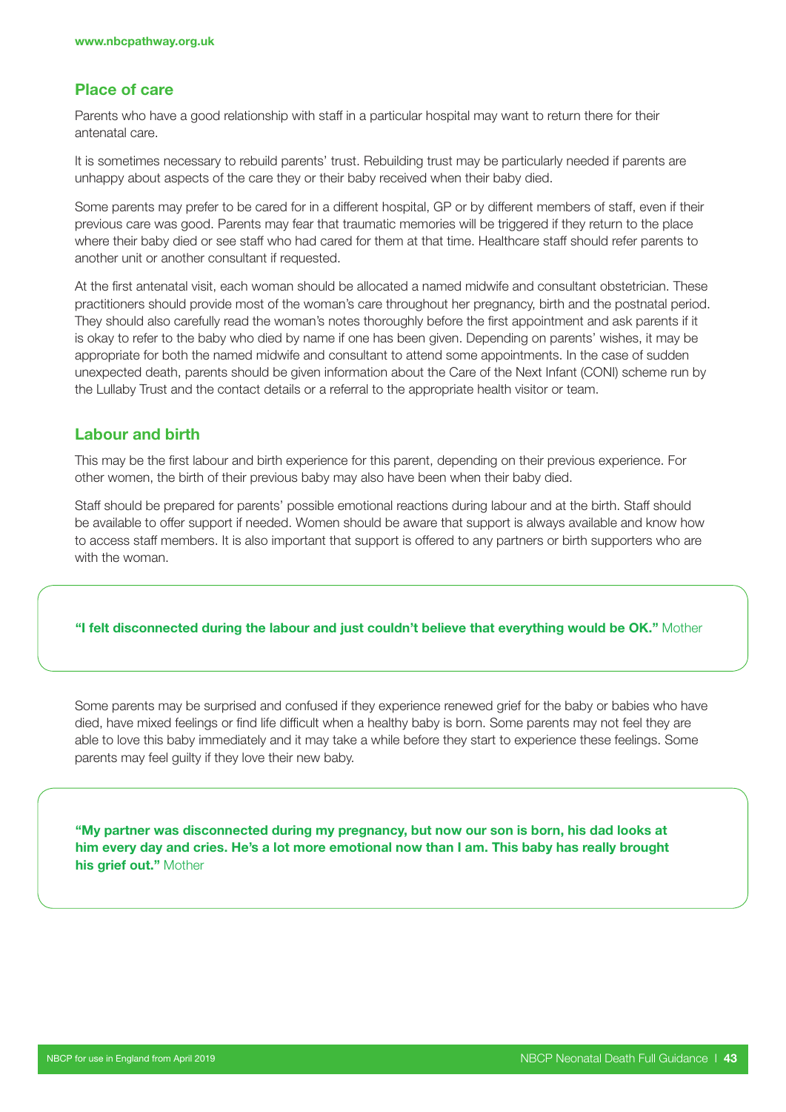#### Place of care

Parents who have a good relationship with staff in a particular hospital may want to return there for their antenatal care.

It is sometimes necessary to rebuild parents' trust. Rebuilding trust may be particularly needed if parents are unhappy about aspects of the care they or their baby received when their baby died.

Some parents may prefer to be cared for in a different hospital, GP or by different members of staff, even if their previous care was good. Parents may fear that traumatic memories will be triggered if they return to the place where their baby died or see staff who had cared for them at that time. Healthcare staff should refer parents to another unit or another consultant if requested.

At the first antenatal visit, each woman should be allocated a named midwife and consultant obstetrician. These practitioners should provide most of the woman's care throughout her pregnancy, birth and the postnatal period. They should also carefully read the woman's notes thoroughly before the first appointment and ask parents if it is okay to refer to the baby who died by name if one has been given. Depending on parents' wishes, it may be appropriate for both the named midwife and consultant to attend some appointments. In the case of sudden unexpected death, parents should be given information about the Care of the Next Infant (CONI) scheme run by the Lullaby Trust and the contact details or a referral to the appropriate health visitor or team.

#### Labour and birth

This may be the first labour and birth experience for this parent, depending on their previous experience. For other women, the birth of their previous baby may also have been when their baby died.

Staff should be prepared for parents' possible emotional reactions during labour and at the birth. Staff should be available to offer support if needed. Women should be aware that support is always available and know how to access staff members. It is also important that support is offered to any partners or birth supporters who are with the woman.

#### "I felt disconnected during the labour and just couldn't believe that everything would be OK." Mother

Some parents may be surprised and confused if they experience renewed grief for the baby or babies who have died, have mixed feelings or find life difficult when a healthy baby is born. Some parents may not feel they are able to love this baby immediately and it may take a while before they start to experience these feelings. Some parents may feel guilty if they love their new baby.

"My partner was disconnected during my pregnancy, but now our son is born, his dad looks at him every day and cries. He's a lot more emotional now than I am. This baby has really brought his grief out." Mother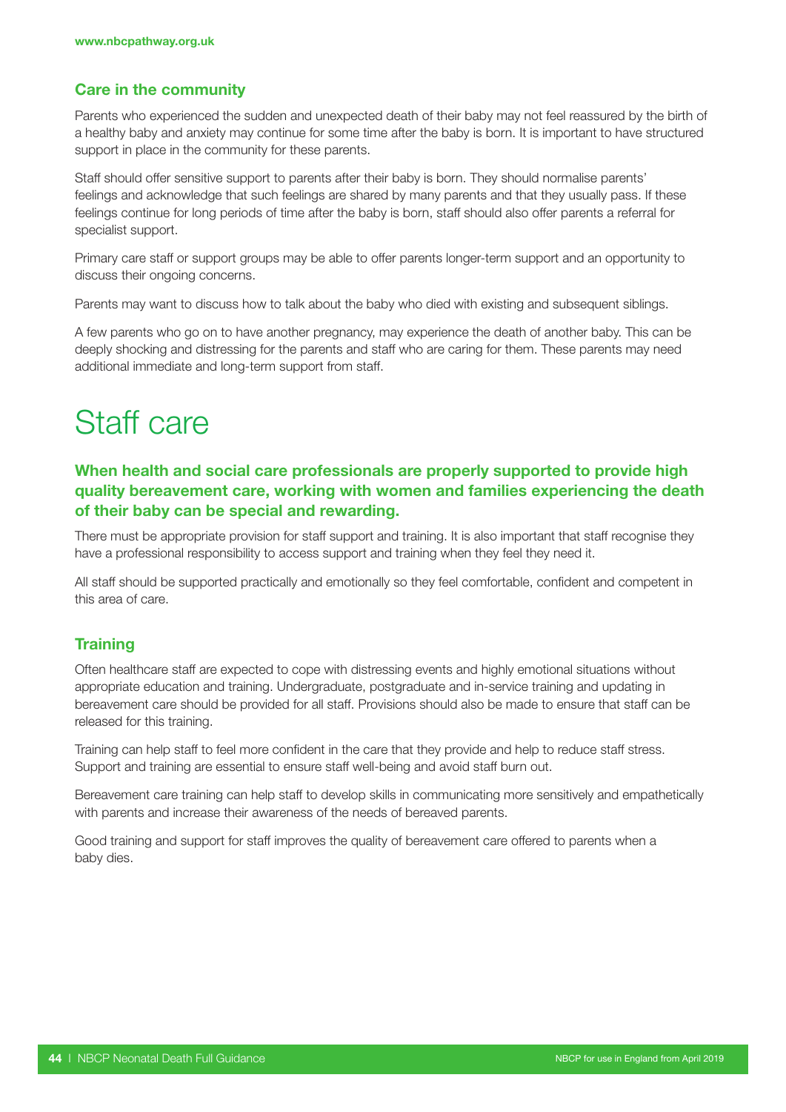#### Care in the community

Parents who experienced the sudden and unexpected death of their baby may not feel reassured by the birth of a healthy baby and anxiety may continue for some time after the baby is born. It is important to have structured support in place in the community for these parents.

Staff should offer sensitive support to parents after their baby is born. They should normalise parents' feelings and acknowledge that such feelings are shared by many parents and that they usually pass. If these feelings continue for long periods of time after the baby is born, staff should also offer parents a referral for specialist support.

Primary care staff or support groups may be able to offer parents longer-term support and an opportunity to discuss their ongoing concerns.

Parents may want to discuss how to talk about the baby who died with existing and subsequent siblings.

A few parents who go on to have another pregnancy, may experience the death of another baby. This can be deeply shocking and distressing for the parents and staff who are caring for them. These parents may need additional immediate and long-term support from staff.

### Staff care

#### When health and social care professionals are properly supported to provide high quality bereavement care, working with women and families experiencing the death of their baby can be special and rewarding.

There must be appropriate provision for staff support and training. It is also important that staff recognise they have a professional responsibility to access support and training when they feel they need it.

All staff should be supported practically and emotionally so they feel comfortable, confident and competent in this area of care.

#### **Training**

Often healthcare staff are expected to cope with distressing events and highly emotional situations without appropriate education and training. Undergraduate, postgraduate and in-service training and updating in bereavement care should be provided for all staff. Provisions should also be made to ensure that staff can be released for this training.

Training can help staff to feel more confident in the care that they provide and help to reduce staff stress. Support and training are essential to ensure staff well-being and avoid staff burn out.

Bereavement care training can help staff to develop skills in communicating more sensitively and empathetically with parents and increase their awareness of the needs of bereaved parents.

Good training and support for staff improves the quality of bereavement care offered to parents when a baby dies.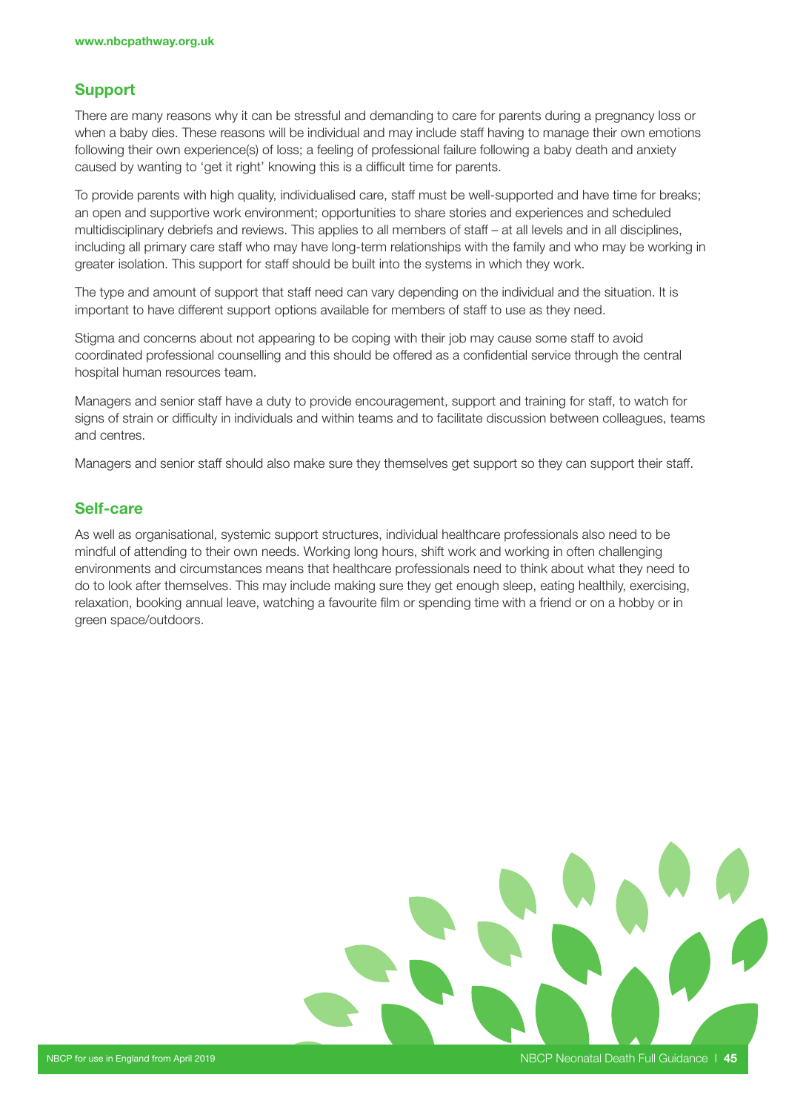#### Support

There are many reasons why it can be stressful and demanding to care for parents during a pregnancy loss or when a baby dies. These reasons will be individual and may include staff having to manage their own emotions following their own experience(s) of loss; a feeling of professional failure following a baby death and anxiety caused by wanting to 'get it right' knowing this is a difficult time for parents.

To provide parents with high quality, individualised care, staff must be well-supported and have time for breaks; an open and supportive work environment; opportunities to share stories and experiences and scheduled multidisciplinary debriefs and reviews. This applies to all members of staff – at all levels and in all disciplines, including all primary care staff who may have long-term relationships with the family and who may be working in greater isolation. This support for staff should be built into the systems in which they work.

The type and amount of support that staff need can vary depending on the individual and the situation. It is important to have different support options available for members of staff to use as they need.

Stigma and concerns about not appearing to be coping with their job may cause some staff to avoid coordinated professional counselling and this should be offered as a confidential service through the central hospital human resources team.

Managers and senior staff have a duty to provide encouragement, support and training for staff, to watch for signs of strain or difficulty in individuals and within teams and to facilitate discussion between colleagues, teams and centres.

Managers and senior staff should also make sure they themselves get support so they can support their staff.

#### Self-care

As well as organisational, systemic support structures, individual healthcare professionals also need to be mindful of attending to their own needs. Working long hours, shift work and working in often challenging environments and circumstances means that healthcare professionals need to think about what they need to do to look after themselves. This may include making sure they get enough sleep, eating healthily, exercising, relaxation, booking annual leave, watching a favourite film or spending time with a friend or on a hobby or in green space/outdoors.

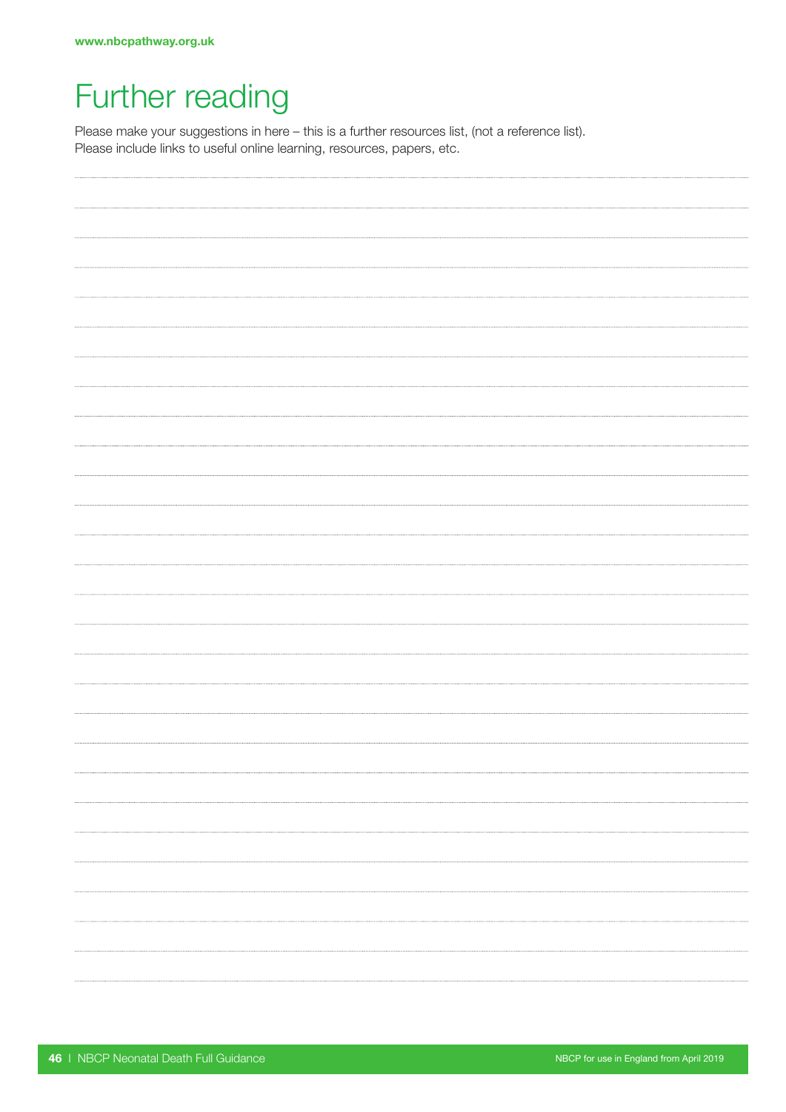### Further reading

Please make your suggestions in here – this is a further resources list, (not a reference list). Please include links to useful online learning, resources, papers, etc.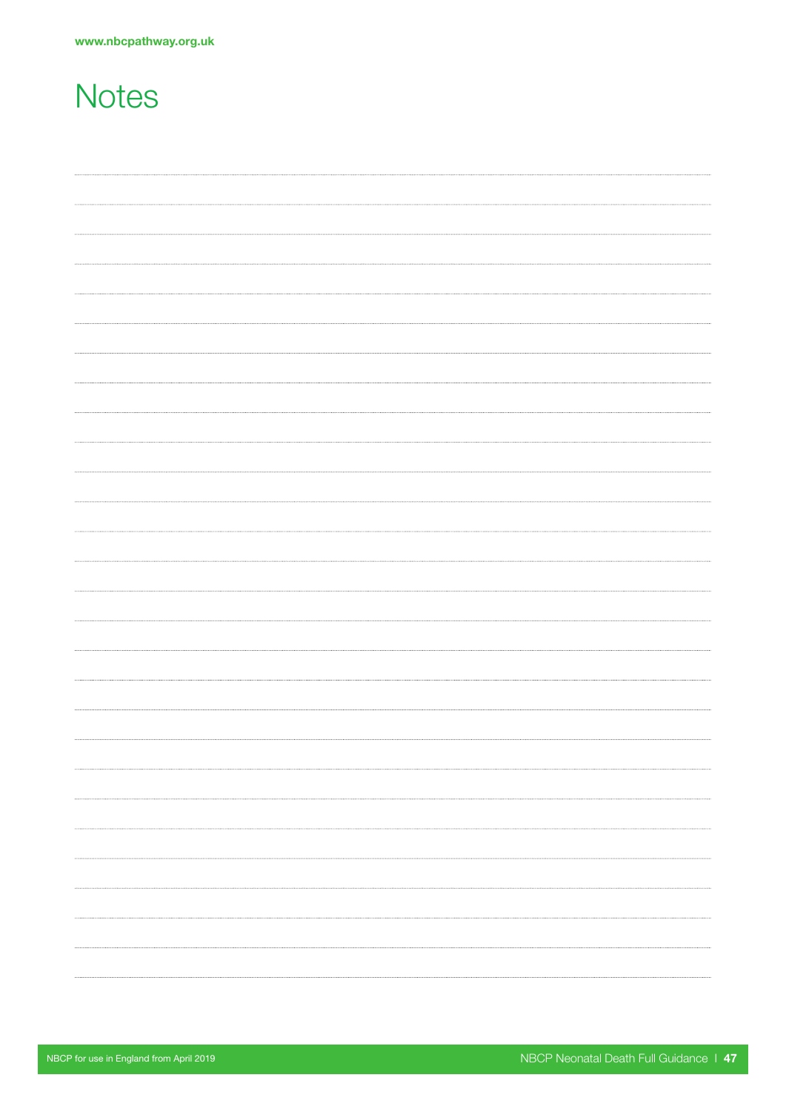### **Notes**

| <br> |
|------|
|      |
|      |
|      |
|      |
|      |
|      |
|      |